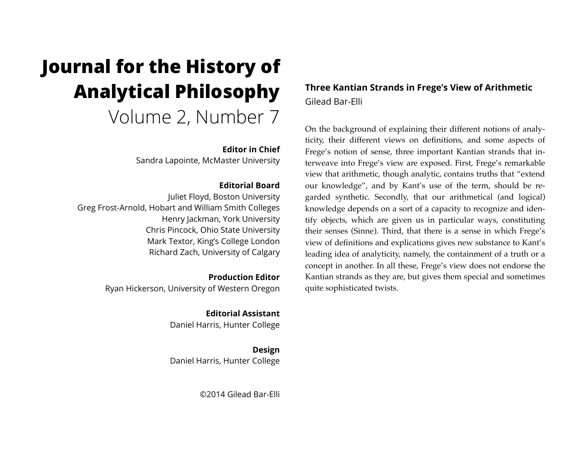# **Journal for the History of Analytical Philosophy**  Volume 2, Number 7

#### **Editor in Chief**

Sandra Lapointe, McMaster University

#### **Editorial Board**

Juliet Floyd, Boston University Greg Frost-Arnold, Hobart and William Smith Colleges Henry Jackman, York University Chris Pincock, Ohio State University Mark Textor, King's College London Richard Zach, University of Calgary

> **Production Editor** Ryan Hickerson, University of Western Oregon

> > **Editorial Assistant** Daniel Harris, Hunter College

> > **Design** Daniel Harris, Hunter College

> > > ©2014 Gilead Bar-Elli

# **Three Kantian Strands in Frege's View of Arithmetic** Gilead Bar-Elli

On the background of explaining their different notions of analyticity, their different views on definitions, and some aspects of Frege's notion of sense, three important Kantian strands that interweave into Frege's view are exposed. First, Frege's remarkable view that arithmetic, though analytic, contains truths that "extend our knowledge", and by Kant's use of the term, should be regarded synthetic. Secondly, that our arithmetical (and logical) knowledge depends on a sort of a capacity to recognize and identify objects, which are given us in particular ways, constituting their senses (Sinne). Third, that there is a sense in which Frege's view of definitions and explications gives new substance to Kant's leading idea of analyticity, namely, the containment of a truth or a concept in another. In all these, Frege's view does not endorse the Kantian strands as they are, but gives them special and sometimes quite sophisticated twists.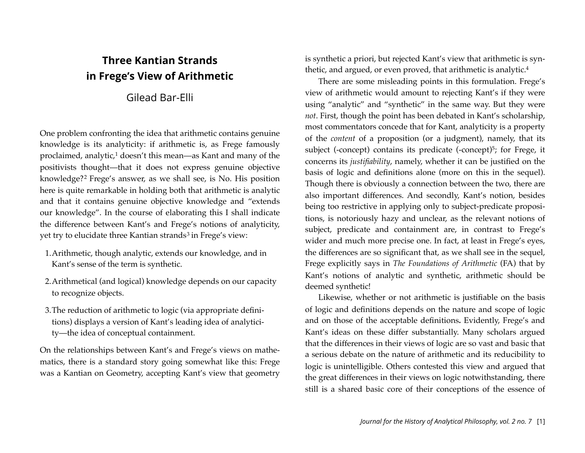# **Three Kantian Strands in Frege's View of Arithmetic**

# Gilead Bar-Elli

One problem confronting the idea that arithmetic contains genuine knowledge is its analyticity: if arithmetic is, as Frege famously proclaimed, analytic,<sup>1</sup> doesn't this mean—as Kant and many of the positivists thought—that it does not express genuine objective knowledge?[2](#page-14-1) Frege's answer, as we shall see, is No. His position here is quite remarkable in holding both that arithmetic is analytic and that it contains genuine objective knowledge and "extends our knowledge". In the course of elaborating this I shall indicate the difference between Kant's and Frege's notions of analyticity, yet try to elucidate three Kantian strands<sup>[3](#page-14-2)</sup> in Frege's view:

- 1.Arithmetic, though analytic, extends our knowledge, and in Kant's sense of the term is synthetic.
- 2.Arithmetical (and logical) knowledge depends on our capacity to recognize objects.
- 3.The reduction of arithmetic to logic (via appropriate definitions) displays a version of Kant's leading idea of analyticity—the idea of conceptual containment.

On the relationships between Kant's and Frege's views on mathematics, there is a standard story going somewhat like this: Frege was a Kantian on Geometry, accepting Kant's view that geometry

is synthetic a priori, but rejected Kant's view that arithmetic is synthetic, and argued, or even proved, that arithmetic is analytic.<sup>4</sup>

There are some misleading points in this formulation. Frege's view of arithmetic would amount to rejecting Kant's if they were using "analytic" and "synthetic" in the same way. But they were *not*. First, though the point has been debated in Kant's scholarship, most commentators concede that for Kant, analyticity is a property of the *content* of a proposition (or a judgment), namely, that its subject (-concept) contains its predicate (-concept)<sup>5</sup>; for Frege, it concerns its *justifiability*, namely, whether it can be justified on the basis of logic and definitions alone (more on this in the sequel). Though there is obviously a connection between the two, there are also important differences. And secondly, Kant's notion, besides being too restrictive in applying only to subject-predicate propositions, is notoriously hazy and unclear, as the relevant notions of subject, predicate and containment are, in contrast to Frege's wider and much more precise one. In fact, at least in Frege's eyes, the differences are so significant that, as we shall see in the sequel, Frege explicitly says in *The Foundations of Arithmetic* (FA) that by Kant's notions of analytic and synthetic, arithmetic should be deemed synthetic!

Likewise, whether or not arithmetic is justifiable on the basis of logic and definitions depends on the nature and scope of logic and on those of the acceptable definitions**.** Evidently, Frege's and Kant's ideas on these differ substantially. Many scholars argued that the differences in their views of logic are so vast and basic that a serious debate on the nature of arithmetic and its reducibility to logic is unintelligible. Others contested this view and argued that the great differences in their views on logic notwithstanding, there still is a shared basic core of their conceptions of the essence of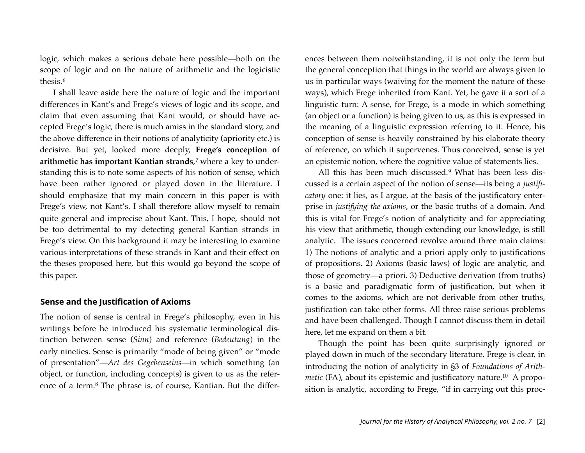logic, which makes a serious debate here possible—both on the scope of logic and on the nature of arithmetic and the logicistic thesis.[6](#page-15-1)

I shall leave aside here the nature of logic and the important differences in Kant's and Frege's views of logic and its scope, and claim that even assuming that Kant would, or should have accepted Frege's logic, there is much amiss in the standard story, and the above difference in their notions of analyticity (apriority etc.) is decisive. But yet, looked more deeply, **Frege's conception of arithmetic has important Kantian strands**,[7](#page-15-2) where a key to understanding this is to note some aspects of his notion of sense, which have been rather ignored or played down in the literature. I should emphasize that my main concern in this paper is with Frege's view, not Kant's. I shall therefore allow myself to remain quite general and imprecise about Kant. This, I hope, should not be too detrimental to my detecting general Kantian strands in Frege's view. On this background it may be interesting to examine various interpretations of these strands in Kant and their effect on the theses proposed here, but this would go beyond the scope of this paper.

#### **Sense and the Justification of Axioms**

The notion of sense is central in Frege's philosophy, even in his writings before he introduced his systematic terminological distinction between sense (*Sinn*) and reference (*Bedeutung*) in the early nineties. Sense is primarily "mode of being given" or "mode of presentation"—*Art des Gegebenseins*—in which something (an object, or function, including concepts) is given to us as the reference of a term.[8](#page-15-3) The phrase is, of course, Kantian. But the differences between them notwithstanding, it is not only the term but the general conception that things in the world are always given to us in particular ways (waiving for the moment the nature of these ways), which Frege inherited from Kant. Yet, he gave it a sort of a linguistic turn: A sense, for Frege, is a mode in which something (an object or a function) is being given to us, as this is expressed in the meaning of a linguistic expression referring to it. Hence, his conception of sense is heavily constrained by his elaborate theory of reference, on which it supervenes. Thus conceived, sense is yet an epistemic notion, where the cognitive value of statements lies.

All this has been much discussed.[9](#page-15-4) What has been less discussed is a certain aspect of the notion of sense—its being a *justificatory* one: it lies, as I argue, at the basis of the justificatory enterprise in *justifying the axioms*, or the basic truths of a domain. And this is vital for Frege's notion of analyticity and for appreciating his view that arithmetic, though extending our knowledge, is still analytic. The issues concerned revolve around three main claims: 1) The notions of analytic and a priori apply only to justifications of propositions. 2) Axioms (basic laws) of logic are analytic, and those of geometry—a priori. 3) Deductive derivation (from truths) is a basic and paradigmatic form of justification, but when it comes to the axioms, which are not derivable from other truths, justification can take other forms. All three raise serious problems and have been challenged. Though I cannot discuss them in detail here, let me expand on them a bit.

Though the point has been quite surprisingly ignored or played down in much of the secondary literature, Frege is clear, in introducing the notion of analyticity in §3 of *Foundations of Arithmetic* (FA), about its epistemic and justificatory nature.<sup>10</sup> A proposition is analytic, according to Frege, "if in carrying out this proc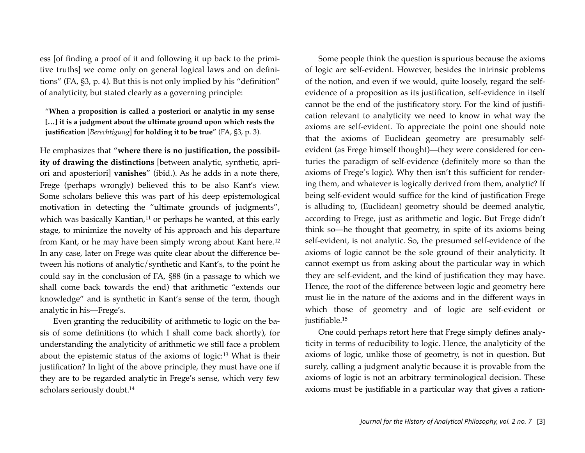ess [of finding a proof of it and following it up back to the primitive truths] we come only on general logical laws and on definitions" (FA, §3, p. 4). But this is not only implied by his "definition" of analyticity, but stated clearly as a governing principle:

"**When a proposition is called a posteriori or analytic in my sense […] it is a judgment about the ultimate ground upon which rests the justification** [*Berechtigung*] **for holding it to be true**" (FA, §3, p. 3).

He emphasizes that "**where there is no justification, the possibility of drawing the distinctions** [between analytic, synthetic, apriori and aposteriori] **vanishes**" (ibid.). As he adds in a note there, Frege (perhaps wrongly) believed this to be also Kant's view. Some scholars believe this was part of his deep epistemological motivation in detecting the "ultimate grounds of judgments", which was basically Kantian,<sup>[11](#page-15-6)</sup> or perhaps he wanted, at this early stage, to minimize the novelty of his approach and his departure from Kant, or he may have been simply wrong about Kant here.[12](#page-15-7) In any case, later on Frege was quite clear about the difference between his notions of analytic/synthetic and Kant's, to the point he could say in the conclusion of FA, §88 (in a passage to which we shall come back towards the end) that arithmetic "extends our knowledge" and is synthetic in Kant's sense of the term, though analytic in his—Frege's.

Even granting the reducibility of arithmetic to logic on the basis of some definitions (to which I shall come back shortly), for understanding the analyticity of arithmetic we still face a problem about the epistemic status of the axioms of logic:[13](#page-15-8) What is their justification? In light of the above principle, they must have one if they are to be regarded analytic in Frege's sense, which very few scholars seriously doubt[.14](#page-16-0)

Some people think the question is spurious because the axioms of logic are self-evident. However, besides the intrinsic problems of the notion, and even if we would, quite loosely, regard the selfevidence of a proposition as its justification, self-evidence in itself cannot be the end of the justificatory story. For the kind of justification relevant to analyticity we need to know in what way the axioms are self-evident. To appreciate the point one should note that the axioms of Euclidean geometry are presumably selfevident (as Frege himself thought)—they were considered for centuries the paradigm of self-evidence (definitely more so than the axioms of Frege's logic). Why then isn't this sufficient for rendering them, and whatever is logically derived from them, analytic? If being self-evident would suffice for the kind of justification Frege is alluding to, (Euclidean) geometry should be deemed analytic, according to Frege, just as arithmetic and logic. But Frege didn't think so—he thought that geometry, in spite of its axioms being self-evident, is not analytic. So, the presumed self-evidence of the axioms of logic cannot be the sole ground of their analyticity. It cannot exempt us from asking about the particular way in which they are self-evident, and the kind of justification they may have. Hence, the root of the difference between logic and geometry here must lie in the nature of the axioms and in the different ways in which those of geometry and of logic are self-evident or justifiable[.15](#page-16-1)

One could perhaps retort here that Frege simply defines analyticity in terms of reducibility to logic. Hence, the analyticity of the axioms of logic, unlike those of geometry, is not in question. But surely, calling a judgment analytic because it is provable from the axioms of logic is not an arbitrary terminological decision. These axioms must be justifiable in a particular way that gives a ration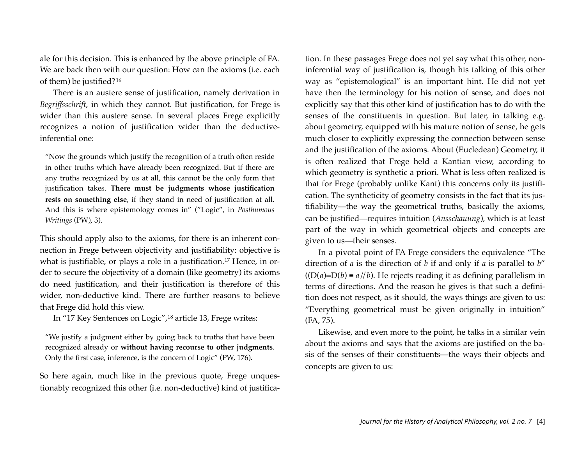ale for this decision. This is enhanced by the above principle of FA. We are back then with our question: How can the axioms (i.e. each of them) be justified?[16](#page-16-2)

There is an austere sense of justification, namely derivation in *Begriffsschrift*, in which they cannot. But justification, for Frege is wider than this austere sense. In several places Frege explicitly recognizes a notion of justification wider than the deductiveinferential one:

"Now the grounds which justify the recognition of a truth often reside in other truths which have already been recognized. But if there are any truths recognized by us at all, this cannot be the only form that justification takes. **There must be judgments whose justification rests on something else**, if they stand in need of justification at all. And this is where epistemology comes in" ("Logic", in *Posthumous Writings* (PW), 3).

This should apply also to the axioms, for there is an inherent connection in Frege between objectivity and justifiability: objective is what is justifiable, or plays a role in a justification.<sup>[17](#page-16-3)</sup> Hence, in order to secure the objectivity of a domain (like geometry) its axioms do need justification, and their justification is therefore of this wider, non-deductive kind. There are further reasons to believe that Frege did hold this view.

In "17 Key Sentences on Logic",[18](#page-17-0) article 13, Frege writes:

"We justify a judgment either by going back to truths that have been recognized already or **without having recourse to other judgments**. Only the first case, inference, is the concern of Logic" (PW, 176).

So here again, much like in the previous quote, Frege unquestionably recognized this other (i.e. non-deductive) kind of justification. In these passages Frege does not yet say what this other, noninferential way of justification is, though his talking of this other way as "epistemological" is an important hint. He did not yet have then the terminology for his notion of sense, and does not explicitly say that this other kind of justification has to do with the senses of the constituents in question. But later, in talking e.g. about geometry, equipped with his mature notion of sense, he gets much closer to explicitly expressing the connection between sense and the justification of the axioms. About (Eucledean) Geometry, it is often realized that Frege held a Kantian view, according to which geometry is synthetic a priori. What is less often realized is that for Frege (probably unlike Kant) this concerns only its justification. The syntheticity of geometry consists in the fact that its justifiability—the way the geometrical truths, basically the axioms, can be justified—requires intuition (*Ansschauung*), which is at least part of the way in which geometrical objects and concepts are given to us—their senses.

In a pivotal point of FA Frege considers the equivalence "The direction of *a* is the direction of *b* if and only if *a* is parallel to *b*"  $((D(a)=D(b) = a//b)$ . He rejects reading it as defining parallelism in terms of directions. And the reason he gives is that such a definition does not respect, as it should, the ways things are given to us: "Everything geometrical must be given originally in intuition" (FA, 75).

Likewise, and even more to the point, he talks in a similar vein about the axioms and says that the axioms are justified on the basis of the senses of their constituents—the ways their objects and concepts are given to us: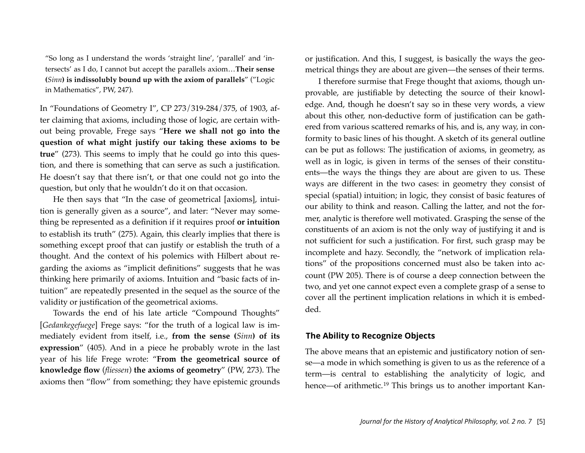"So long as I understand the words 'straight line', 'parallel' and 'intersects' as I do, I cannot but accept the parallels axiom…**Their sense (***Sinn***) is indissolubly bound up with the axiom of parallels**" ("Logic in Mathematics", PW, 247).

In "Foundations of Geometry I", CP 273/319-284/375, of 1903, after claiming that axioms, including those of logic, are certain without being provable, Frege says "**Here we shall not go into the question of what might justify our taking these axioms to be true**" (273). This seems to imply that he could go into this question, and there is something that can serve as such a justification. He doesn't say that there isn't, or that one could not go into the question, but only that he wouldn't do it on that occasion.

He then says that "In the case of geometrical [axioms], intuition is generally given as a source", and later: "Never may something be represented as a definition if it requires proof **or intuition**  to establish its truth" (275). Again, this clearly implies that there is something except proof that can justify or establish the truth of a thought. And the context of his polemics with Hilbert about regarding the axioms as "implicit definitions" suggests that he was thinking here primarily of axioms. Intuition and "basic facts of intuition" are repeatedly presented in the sequel as the source of the validity or justification of the geometrical axioms.

Towards the end of his late article "Compound Thoughts" [*Gedankegefuege*] Frege says: "for the truth of a logical law is immediately evident from itself, i.e., **from the sense (***Sinn***) of its expression**" (405). And in a piece he probably wrote in the last year of his life Frege wrote: "**From the geometrical source of knowledge flow** (*fliessen*) **the axioms of geometry**" (PW, 273). The axioms then "flow" from something; they have epistemic grounds or justification. And this, I suggest, is basically the ways the geometrical things they are about are given—the senses of their terms.

I therefore surmise that Frege thought that axioms, though unprovable, are justifiable by detecting the source of their knowledge. And, though he doesn't say so in these very words, a view about this other, non-deductive form of justification can be gathered from various scattered remarks of his, and is, any way, in conformity to basic lines of his thought. A sketch of its general outline can be put as follows: The justification of axioms, in geometry, as well as in logic, is given in terms of the senses of their constituents—the ways the things they are about are given to us. These ways are different in the two cases: in geometry they consist of special (spatial) intuition; in logic, they consist of basic features of our ability to think and reason. Calling the latter, and not the former, analytic is therefore well motivated. Grasping the sense of the constituents of an axiom is not the only way of justifying it and is not sufficient for such a justification. For first, such grasp may be incomplete and hazy. Secondly, the "network of implication relations" of the propositions concerned must also be taken into account (PW 205). There is of course a deep connection between the two, and yet one cannot expect even a complete grasp of a sense to cover all the pertinent implication relations in which it is embedded.

#### **The Ability to Recognize Objects**

The above means that an epistemic and justificatory notion of sense—a mode in which something is given to us as the reference of a term—is central to establishing the analyticity of logic, and hence—of arithmetic.<sup>[19](#page-17-1)</sup> This brings us to another important Kan-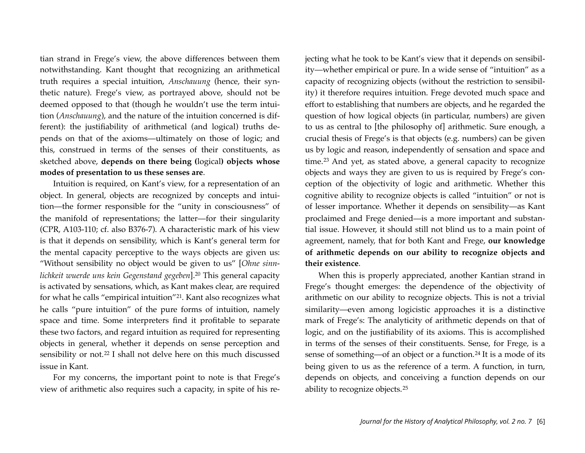tian strand in Frege's view, the above differences between them notwithstanding. Kant thought that recognizing an arithmetical truth requires a special intuition, *Anschauung* (hence, their synthetic nature). Frege's view, as portrayed above, should not be deemed opposed to that (though he wouldn't use the term intuition (*Anschauung*), and the nature of the intuition concerned is different): the justifiability of arithmetical (and logical) truths depends on that of the axioms—ultimately on those of logic; and this, construed in terms of the senses of their constituents, as sketched above, **depends on there being (**logical**) objects whose modes of presentation to us these senses are**.

Intuition is required, on Kant's view, for a representation of an object. In general, objects are recognized by concepts and intuition—the former responsible for the "unity in consciousness" of the manifold of representations; the latter—for their singularity (CPR, A103-110; cf. also B376-7). A characteristic mark of his view is that it depends on sensibility, which is Kant's general term for the mental capacity perceptive to the ways objects are given us: "Without sensibility no object would be given to us" [*Ohne sinnlichkeit wuerde uns kein Gegenstand gegeben*][.20](#page-17-2) This general capacity is activated by sensations, which, as Kant makes clear, are required for what he calls "empirical intuition"[21](#page-17-3). Kant also recognizes what he calls "pure intuition" of the pure forms of intuition, namely space and time. Some interpreters find it profitable to separate these two factors, and regard intuition as required for representing objects in general, whether it depends on sense perception and sensibility or not.<sup>[22](#page-17-4)</sup> I shall not delve here on this much discussed issue in Kant.

For my concerns, the important point to note is that Frege's view of arithmetic also requires such a capacity, in spite of his rejecting what he took to be Kant's view that it depends on sensibility—whether empirical or pure. In a wide sense of "intuition" as a capacity of recognizing objects (without the restriction to sensibility) it therefore requires intuition. Frege devoted much space and effort to establishing that numbers are objects, and he regarded the question of how logical objects (in particular, numbers) are given to us as central to [the philosophy of] arithmetic. Sure enough, a crucial thesis of Frege's is that objects (e.g. numbers) can be given us by logic and reason, independently of sensation and space and time.[23](#page-17-5) And yet, as stated above, a general capacity to recognize objects and ways they are given to us is required by Frege's conception of the objectivity of logic and arithmetic. Whether this cognitive ability to recognize objects is called "intuition" or not is of lesser importance. Whether it depends on sensibility—as Kant proclaimed and Frege denied—is a more important and substantial issue. However, it should still not blind us to a main point of agreement, namely, that for both Kant and Frege, **our knowledge of arithmetic depends on our ability to recognize objects and their existence**.

When this is properly appreciated, another Kantian strand in Frege's thought emerges: the dependence of the objectivity of arithmetic on our ability to recognize objects. This is not a trivial similarity—even among logicistic approaches it is a distinctive mark of Frege's: The analyticity of arithmetic depends on that of logic, and on the justifiability of its axioms. This is accomplished in terms of the senses of their constituents. Sense, for Frege, is a sense of something—of an object or a function.<sup>[24](#page-17-6)</sup> It is a mode of its being given to us as the reference of a term. A function, in turn, depends on objects, and conceiving a function depends on our ability to recognize objects.[25](#page-17-7)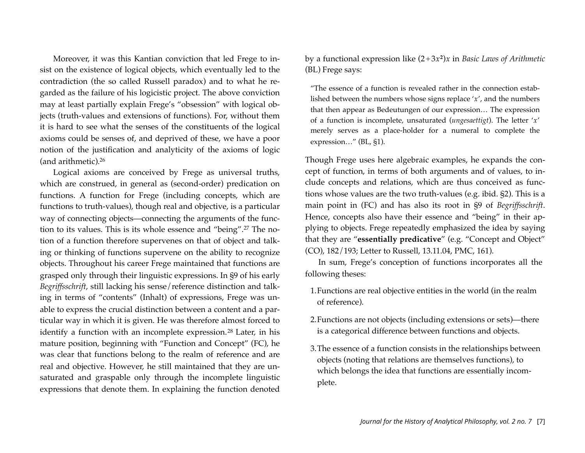Moreover, it was this Kantian conviction that led Frege to insist on the existence of logical objects, which eventually led to the contradiction (the so called Russell paradox) and to what he regarded as the failure of his logicistic project. The above conviction may at least partially explain Frege's "obsession" with logical objects (truth-values and extensions of functions). For, without them it is hard to see what the senses of the constituents of the logical axioms could be senses of, and deprived of these, we have a poor notion of the justification and analyticity of the axioms of logic (and arithmetic)[.26](#page-17-8)

Logical axioms are conceived by Frege as universal truths, which are construed, in general as (second-order) predication on functions. A function for Frege (including concepts, which are functions to truth-values), though real and objective, is a particular way of connecting objects—connecting the arguments of the function to its values. This is its whole essence and "being".[27](#page-18-0) The notion of a function therefore supervenes on that of object and talking or thinking of functions supervene on the ability to recognize objects. Throughout his career Frege maintained that functions are grasped only through their linguistic expressions. In §9 of his early *Begriffsschrift*, still lacking his sense/reference distinction and talking in terms of "contents" (Inhalt) of expressions, Frege was unable to express the crucial distinction between a content and a particular way in which it is given. He was therefore almost forced to identify a function with an incomplete expression.<sup>[28](#page-18-1)</sup> Later, in his mature position, beginning with "Function and Concept" (FC), he was clear that functions belong to the realm of reference and are real and objective. However, he still maintained that they are unsaturated and graspable only through the incomplete linguistic expressions that denote them. In explaining the function denoted

by a functional expression like (2+3*x***<sup>2</sup>**)*x* in *Basic Laws of Arithmetic* (BL) Frege says:

"The essence of a function is revealed rather in the connection established between the numbers whose signs replace '*x*', and the numbers that then appear as Bedeutungen of our expression… The expression of a function is incomplete, unsaturated (*ungesaettigt*). The letter '*x*' merely serves as a place-holder for a numeral to complete the expression…" (BL, §1).

Though Frege uses here algebraic examples, he expands the concept of function, in terms of both arguments and of values, to include concepts and relations, which are thus conceived as functions whose values are the two truth-values (e.g. ibid. §2). This is a main point in (FC) and has also its root in §9 of *Begriffsschrift*. Hence, concepts also have their essence and "being" in their applying to objects. Frege repeatedly emphasized the idea by saying that they are "**essentially predicative**" (e.g. "Concept and Object" (CO), 182/193; Letter to Russell, 13.11.04, PMC, 161).

In sum, Frege's conception of functions incorporates all the following theses:

- 1.Functions are real objective entities in the world (in the realm of reference).
- 2.Functions are not objects (including extensions or sets)—there is a categorical difference between functions and objects.
- 3.The essence of a function consists in the relationships between objects (noting that relations are themselves functions), to which belongs the idea that functions are essentially incomplete.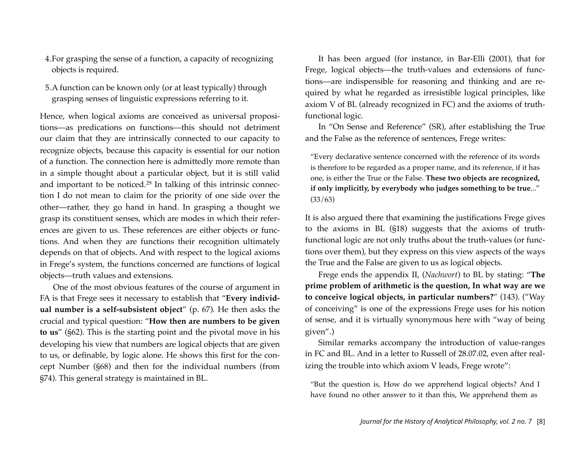- 4.For grasping the sense of a function, a capacity of recognizing objects is required.
- 5.A function can be known only (or at least typically) through grasping senses of linguistic expressions referring to it.

Hence, when logical axioms are conceived as universal propositions—as predications on functions—this should not detriment our claim that they are intrinsically connected to our capacity to recognize objects, because this capacity is essential for our notion of a function. The connection here is admittedly more remote than in a simple thought about a particular object, but it is still valid and important to be noticed.[29](#page-18-2) In talking of this intrinsic connection I do not mean to claim for the priority of one side over the other—rather, they go hand in hand. In grasping a thought we grasp its constituent senses, which are modes in which their references are given to us. These references are either objects or functions. And when they are functions their recognition ultimately depends on that of objects. And with respect to the logical axioms in Frege's system, the functions concerned are functions of logical objects—truth values and extensions.

One of the most obvious features of the course of argument in FA is that Frege sees it necessary to establish that "**Every individual number is a self-subsistent object**" (p. 67). He then asks the crucial and typical question: "**How then are numbers to be given to us**" (§62). This is the starting point and the pivotal move in his developing his view that numbers are logical objects that are given to us, or definable, by logic alone. He shows this first for the concept Number (§68) and then for the individual numbers (from §74). This general strategy is maintained in BL.

It has been argued (for instance, in Bar-Elli (2001), that for Frege, logical objects—the truth-values and extensions of functions—are indispensible for reasoning and thinking and are required by what he regarded as irresistible logical principles, like axiom V of BL (already recognized in FC) and the axioms of truthfunctional logic.

In "On Sense and Reference" (SR), after establishing the True and the False as the reference of sentences, Frege writes:

"Every declarative sentence concerned with the reference of its words is therefore to be regarded as a proper name, and its reference, if it has one, is either the True or the False. **These two objects are recognized, if only implicitly, by everybody who judges something to be true**..." (33/63)

It is also argued there that examining the justifications Frege gives to the axioms in BL (§18) suggests that the axioms of truthfunctional logic are not only truths about the truth-values (or functions over them), but they express on this view aspects of the ways the True and the False are given to us as logical objects.

Frege ends the appendix II, (*Nachwort*) to BL by stating: "**The prime problem of arithmetic is the question, In what way are we to conceive logical objects, in particular numbers?**" (143). ("Way of conceiving" is one of the expressions Frege uses for his notion of sense, and it is virtually synonymous here with "way of being given".)

Similar remarks accompany the introduction of value-ranges in FC and BL. And in a letter to Russell of 28.07.02, even after realizing the trouble into which axiom V leads, Frege wrote":

"But the question is, How do we apprehend logical objects? And I have found no other answer to it than this, We apprehend them as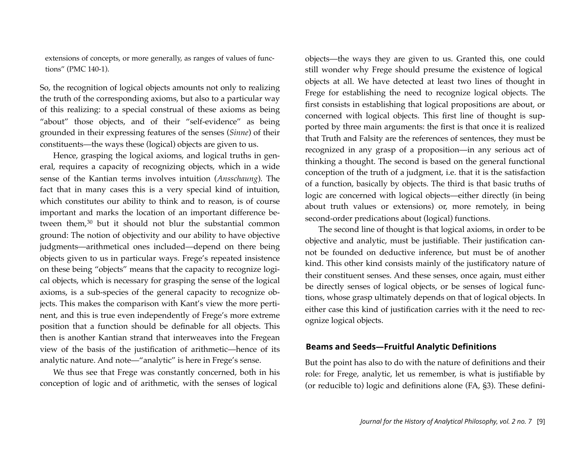extensions of concepts, or more generally, as ranges of values of functions" (PMC 140-1).

So, the recognition of logical objects amounts not only to realizing the truth of the corresponding axioms, but also to a particular way of this realizing: to a special construal of these axioms as being "about" those objects, and of their "self-evidence" as being grounded in their expressing features of the senses (*Sinne*) of their constituents—the ways these (logical) objects are given to us.

Hence, grasping the logical axioms, and logical truths in general, requires a capacity of recognizing objects, which in a wide sense of the Kantian terms involves intuition (*Ansschaung*). The fact that in many cases this is a very special kind of intuition, which constitutes our ability to think and to reason, is of course important and marks the location of an important difference between them,[30](#page-18-3) but it should not blur the substantial common ground: The notion of objectivity and our ability to have objective judgments—arithmetical ones included—depend on there being objects given to us in particular ways. Frege's repeated insistence on these being "objects" means that the capacity to recognize logical objects, which is necessary for grasping the sense of the logical axioms, is a sub-species of the general capacity to recognize objects. This makes the comparison with Kant's view the more pertinent, and this is true even independently of Frege's more extreme position that a function should be definable for all objects. This then is another Kantian strand that interweaves into the Fregean view of the basis of the justification of arithmetic—hence of its analytic nature. And note—"analytic" is here in Frege's sense.

We thus see that Frege was constantly concerned, both in his conception of logic and of arithmetic, with the senses of logical

objects—the ways they are given to us. Granted this, one could still wonder why Frege should presume the existence of logical objects at all. We have detected at least two lines of thought in Frege for establishing the need to recognize logical objects. The first consists in establishing that logical propositions are about, or concerned with logical objects. This first line of thought is supported by three main arguments: the first is that once it is realized that Truth and Falsity are the references of sentences, they must be recognized in any grasp of a proposition—in any serious act of thinking a thought. The second is based on the general functional conception of the truth of a judgment, i.e. that it is the satisfaction of a function, basically by objects. The third is that basic truths of logic are concerned with logical objects—either directly (in being about truth values or extensions) or, more remotely, in being second-order predications about (logical) functions.

The second line of thought is that logical axioms, in order to be objective and analytic, must be justifiable. Their justification cannot be founded on deductive inference, but must be of another kind. This other kind consists mainly of the justificatory nature of their constituent senses. And these senses, once again, must either be directly senses of logical objects, or be senses of logical functions, whose grasp ultimately depends on that of logical objects. In either case this kind of justification carries with it the need to recognize logical objects.

#### **Beams and Seeds—Fruitful Analytic Definitions**

But the point has also to do with the nature of definitions and their role: for Frege, analytic, let us remember, is what is justifiable by (or reducible to) logic and definitions alone (FA, §3). These defini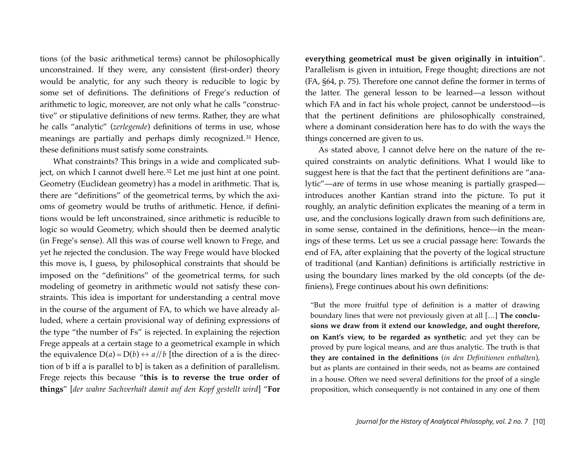tions (of the basic arithmetical terms) cannot be philosophically unconstrained. If they were, any consistent (first-order) theory would be analytic, for any such theory is reducible to logic by some set of definitions. The definitions of Frege's reduction of arithmetic to logic, moreover, are not only what he calls "constructive" or stipulative definitions of new terms. Rather, they are what he calls "analytic" (*zerlegende*) definitions of terms in use, whose meanings are partially and perhaps dimly recognized.[31](#page-18-4) Hence, these definitions must satisfy some constraints.

What constraints? This brings in a wide and complicated sub-ject, on which I cannot dwell here.<sup>[32](#page-18-5)</sup> Let me just hint at one point. Geometry (Euclidean geometry) has a model in arithmetic. That is, there are "definitions" of the geometrical terms, by which the axioms of geometry would be truths of arithmetic. Hence, if definitions would be left unconstrained, since arithmetic is reducible to logic so would Geometry, which should then be deemed analytic (in Frege's sense). All this was of course well known to Frege, and yet he rejected the conclusion. The way Frege would have blocked this move is, I guess, by philosophical constraints that should be imposed on the "definitions" of the geometrical terms, for such modeling of geometry in arithmetic would not satisfy these constraints. This idea is important for understanding a central move in the course of the argument of FA, to which we have already alluded, where a certain provisional way of defining expressions of the type "the number of Fs" is rejected. In explaining the rejection Frege appeals at a certain stage to a geometrical example in which the equivalence  $D(a) = D(b) \leftrightarrow a//b$  [the direction of a is the direction of b iff a is parallel to b] is taken as a definition of parallelism. Frege rejects this because "**this is to reverse the true order of things**" [*der wahre Sachverhalt damit auf den Kopf gestellt wird*] "**For** 

**everything geometrical must be given originally in intuition**". Parallelism is given in intuition, Frege thought; directions are not (FA, §64, p. 75). Therefore one cannot define the former in terms of the latter. The general lesson to be learned—a lesson without which FA and in fact his whole project, cannot be understood—is that the pertinent definitions are philosophically constrained, where a dominant consideration here has to do with the ways the things concerned are given to us.

As stated above, I cannot delve here on the nature of the required constraints on analytic definitions. What I would like to suggest here is that the fact that the pertinent definitions are "analytic"—are of terms in use whose meaning is partially grasped introduces another Kantian strand into the picture. To put it roughly, an analytic definition explicates the meaning of a term in use, and the conclusions logically drawn from such definitions are, in some sense, contained in the definitions, hence—in the meanings of these terms. Let us see a crucial passage here: Towards the end of FA, after explaining that the poverty of the logical structure of traditional (and Kantian) definitions is artificially restrictive in using the boundary lines marked by the old concepts (of the definiens), Frege continues about his own definitions:

"But the more fruitful type of definition is a matter of drawing boundary lines that were not previously given at all […] **The conclusions we draw from it extend our knowledge, and ought therefore, on Kant's view, to be regarded as synthetic**; and yet they can be proved by pure logical means, and are thus analytic. The truth is that **they are contained in the definitions** (*in den Definitionen enthalten*), but as plants are contained in their seeds, not as beams are contained in a house. Often we need several definitions for the proof of a single proposition, which consequently is not contained in any one of them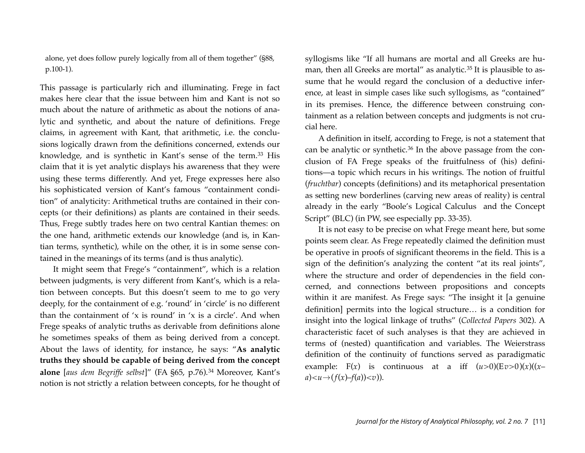alone, yet does follow purely logically from all of them together" (§88, p.100-1).

This passage is particularly rich and illuminating. Frege in fact makes here clear that the issue between him and Kant is not so much about the nature of arithmetic as about the notions of analytic and synthetic, and about the nature of definitions. Frege claims, in agreement with Kant, that arithmetic, i.e. the conclusions logically drawn from the definitions concerned, extends our knowledge, and is synthetic in Kant's sense of the term.[33](#page-18-6) His claim that it is yet analytic displays his awareness that they were using these terms differently. And yet, Frege expresses here also his sophisticated version of Kant's famous "containment condition" of analyticity: Arithmetical truths are contained in their concepts (or their definitions) as plants are contained in their seeds. Thus, Frege subtly trades here on two central Kantian themes: on the one hand, arithmetic extends our knowledge (and is, in Kantian terms, synthetic), while on the other, it is in some sense contained in the meanings of its terms (and is thus analytic).

It might seem that Frege's "containment", which is a relation between judgments, is very different from Kant's, which is a relation between concepts. But this doesn't seem to me to go very deeply, for the containment of e.g. 'round' in 'circle' is no different than the containment of 'x is round' in 'x is a circle'. And when Frege speaks of analytic truths as derivable from definitions alone he sometimes speaks of them as being derived from a concept. About the laws of identity, for instance, he says: "**As analytic truths they should be capable of being derived from the concept alone** [*aus dem Begriffe selbst*]" (FA §65, p.76).[34](#page-18-7) Moreover, Kant's notion is not strictly a relation between concepts, for he thought of

syllogisms like "If all humans are mortal and all Greeks are hu-man, then all Greeks are mortal" as analytic.<sup>[35](#page-18-8)</sup> It is plausible to assume that he would regard the conclusion of a deductive inference, at least in simple cases like such syllogisms, as "contained" in its premises. Hence, the difference between construing containment as a relation between concepts and judgments is not crucial here.

A definition in itself, according to Frege, is not a statement that can be analytic or synthetic.<sup>[36](#page-18-9)</sup> In the above passage from the conclusion of FA Frege speaks of the fruitfulness of (his) definitions—a topic which recurs in his writings. The notion of fruitful (*fruchtbar*) concepts (definitions) and its metaphorical presentation as setting new borderlines (carving new areas of reality) is central already in the early "Boole's Logical Calculus and the Concept Script" (BLC) (in PW, see especially pp. 33-35).

It is not easy to be precise on what Frege meant here, but some points seem clear. As Frege repeatedly claimed the definition must be operative in proofs of significant theorems in the field. This is a sign of the definition's analyzing the content "at its real joints", where the structure and order of dependencies in the field concerned, and connections between propositions and concepts within it are manifest. As Frege says: "The insight it [a genuine definition] permits into the logical structure… is a condition for insight into the logical linkage of truths" (*Collected Papers* 302). A characteristic facet of such analyses is that they are achieved in terms of (nested) quantification and variables. The Weierstrass definition of the continuity of functions served as paradigmatic example: F(*x*) is continuous at a iff  $(u>0)(Ev>0)(x)(x$  $a$  $\rightarrow$  $(f(x)-f(a)) $).$$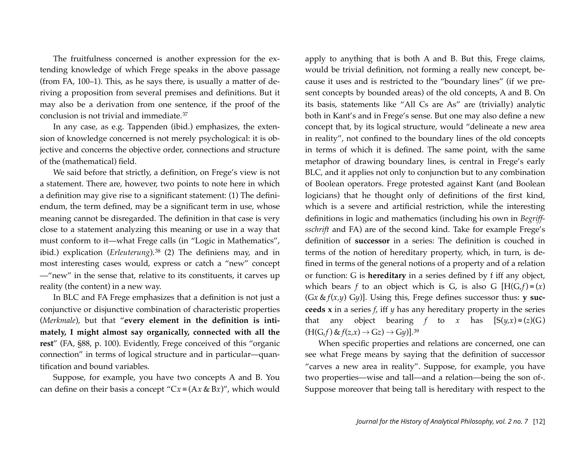The fruitfulness concerned is another expression for the extending knowledge of which Frege speaks in the above passage (from FA, 100–1). This, as he says there, is usually a matter of deriving a proposition from several premises and definitions. But it may also be a derivation from one sentence, if the proof of the conclusion is not trivial and immediate.[37](#page-18-10)

In any case, as e.g. Tappenden (ibid.) emphasizes, the extension of knowledge concerned is not merely psychological: it is objective and concerns the objective order, connections and structure of the (mathematical) field.

We said before that strictly, a definition, on Frege's view is not a statement. There are, however, two points to note here in which a definition may give rise to a significant statement: (1) The definiendum, the term defined, may be a significant term in use, whose meaning cannot be disregarded. The definition in that case is very close to a statement analyzing this meaning or use in a way that must conform to it—what Frege calls (in "Logic in Mathematics", ibid.) explication (*Erleuterung*).<sup>[38](#page-18-11)</sup> (2) The definiens may, and in most interesting cases would, express or catch a "new" concept —"new" in the sense that, relative to its constituents, it carves up reality (the content) in a new way.

In BLC and FA Frege emphasizes that a definition is not just a conjunctive or disjunctive combination of characteristic properties (*Merkmale*), but that "**every element in the definition is intimately, I might almost say organically, connected with all the rest**" (FA, §88, p. 100). Evidently, Frege conceived of this "organic connection" in terms of logical structure and in particular—quantification and bound variables.

Suppose, for example, you have two concepts A and B. You can define on their basis a concept "C*x* ≡ (A*x* & B*x*)", which would

apply to anything that is both A and B. But this, Frege claims, would be trivial definition, not forming a really new concept, because it uses and is restricted to the "boundary lines" (if we present concepts by bounded areas) of the old concepts, A and B. On its basis, statements like "All Cs are As" are (trivially) analytic both in Kant's and in Frege's sense. But one may also define a new concept that, by its logical structure, would "delineate a new area in reality", not confined to the boundary lines of the old concepts in terms of which it is defined. The same point, with the same metaphor of drawing boundary lines, is central in Frege's early BLC, and it applies not only to conjunction but to any combination of Boolean operators. Frege protested against Kant (and Boolean logicians) that he thought only of definitions of the first kind, which is a severe and artificial restriction, while the interesting definitions in logic and mathematics (including his own in *Begriffsschrift* and FA) are of the second kind. Take for example Frege's definition of **successor** in a series: The definition is couched in terms of the notion of hereditary property, which, in turn, is defined in terms of the general notions of a property and of a relation or function: G is **hereditary** in a series defined by f iff any object, which bears *f* to an object which is G, is also G  $[H(G, f) = (x)]$ (G*x* & *f*(*x,y*) G*y*)]. Using this, Frege defines successor thus: **y succeeds x** in a series *f*, iff *y* has any hereditary property in the series that any object bearing *f* to *x* has  $[S(y,x) = (z)(G)$  $(H(G, f) \& f(z, x) \rightarrow Gz) \rightarrow Gy$ ].<sup>[39](#page-18-12)</sup>

When specific properties and relations are concerned, one can see what Frege means by saying that the definition of successor "carves a new area in reality". Suppose, for example, you have two properties—wise and tall—and a relation—being the son of-. Suppose moreover that being tall is hereditary with respect to the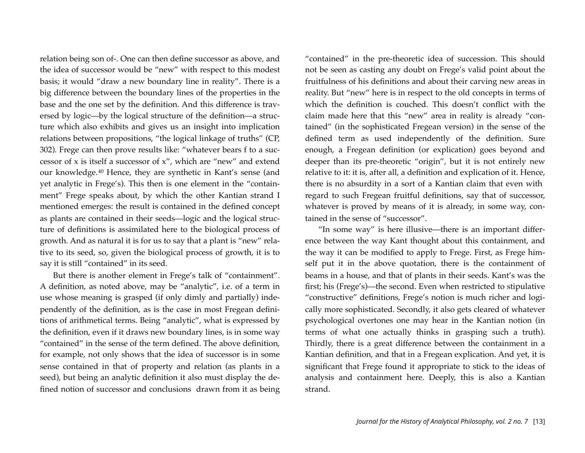relation being son of-. One can then define successor as above, and the idea of successor would be "new" with respect to this modest basis; it would "draw a new boundary line in reality". There is a big difference between the boundary lines of the properties in the base and the one set by the definition. And this difference is traversed by logic—by the logical structure of the definition—a structure which also exhibits and gives us an insight into implication relations between propositions, "the logical linkage of truths" (CP, 302). Frege can then prove results like: "whatever bears f to a successor of x is itself a successor of x", which are "new" and extend our knowledge.[40](#page-18-13) Hence, they are synthetic in Kant's sense (and yet analytic in Frege's). This then is one element in the "containment" Frege speaks about, by which the other Kantian strand I mentioned emerges: the result is contained in the defined concept as plants are contained in their seeds—logic and the logical structure of definitions is assimilated here to the biological process of growth. And as natural it is for us to say that a plant is "new" relative to its seed, so, given the biological process of growth, it is to say it is still "contained" in its seed.

But there is another element in Frege's talk of "containment". A definition, as noted above, may be "analytic", i.e. of a term in use whose meaning is grasped (if only dimly and partially) independently of the definition, as is the case in most Fregean definitions of arithmetical terms. Being "analytic", what is expressed by the definition, even if it draws new boundary lines, is in some way "contained" in the sense of the term defined. The above definition, for example, not only shows that the idea of successor is in some sense contained in that of property and relation (as plants in a seed), but being an analytic definition it also must display the defined notion of successor and conclusions drawn from it as being

"contained" in the pre-theoretic idea of succession. This should not be seen as casting any doubt on Frege's valid point about the fruitfulness of his definitions and about their carving new areas in reality. But "new" here is in respect to the old concepts in terms of which the definition is couched. This doesn't conflict with the claim made here that this "new" area in reality is already "contained" (in the sophisticated Fregean version) in the sense of the defined term as used independently of the definition. Sure enough, a Fregean definition (or explication) goes beyond and deeper than its pre-theoretic "origin", but it is not entirely new relative to it: it is, after all, a definition and explication of it. Hence, there is no absurdity in a sort of a Kantian claim that even with regard to such Fregean fruitful definitions, say that of successor, whatever is proved by means of it is already, in some way, contained in the sense of "successor".

"In some way" is here illusive—there is an important difference between the way Kant thought about this containment, and the way it can be modified to apply to Frege. First, as Frege himself put it in the above quotation, there is the containment of beams in a house, and that of plants in their seeds. Kant's was the first; his (Frege's)—the second. Even when restricted to stipulative "constructive" definitions, Frege's notion is much richer and logically more sophisticated. Secondly, it also gets cleared of whatever psychological overtones one may hear in the Kantian notion (in terms of what one actually thinks in grasping such a truth). Thirdly, there is a great difference between the containment in a Kantian definition, and that in a Fregean explication. And yet, it is significant that Frege found it appropriate to stick to the ideas of analysis and containment here. Deeply, this is also a Kantian strand.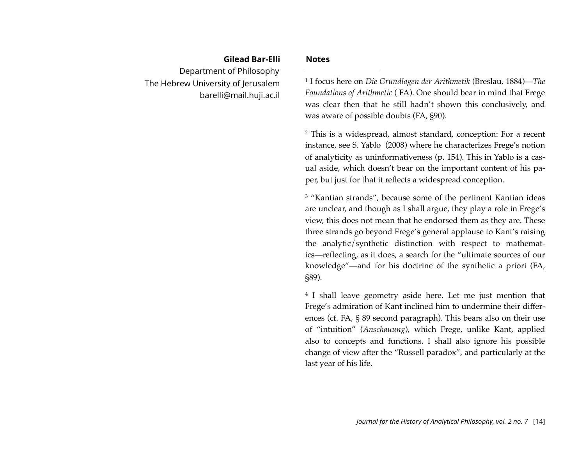### **Gilead Bar-Elli** Department of Philosophy The Hebrew University of Jerusalem [barelli@mail.huji.ac.il](mailto:barelli@mail.huji.ac.il)

#### **Notes**

<span id="page-14-0"></span>1 I focus here on *Die Grundlagen der Arithmetik* (Breslau, 1884)—*The Foundations of Arithmetic* ( FA). One should bear in mind that Frege was clear then that he still hadn't shown this conclusively, and was aware of possible doubts (FA, §90).

<span id="page-14-1"></span>2 This is a widespread, almost standard, conception: For a recent instance, see S. Yablo (2008) where he characterizes Frege's notion of analyticity as uninformativeness (p. 154). This in Yablo is a casual aside, which doesn't bear on the important content of his paper, but just for that it reflects a widespread conception.

<span id="page-14-2"></span><sup>3</sup> "Kantian strands", because some of the pertinent Kantian ideas are unclear, and though as I shall argue, they play a role in Frege's view, this does not mean that he endorsed them as they are. These three strands go beyond Frege's general applause to Kant's raising the analytic/synthetic distinction with respect to mathematics—reflecting, as it does, a search for the "ultimate sources of our knowledge"—and for his doctrine of the synthetic a priori (FA, §89).

<span id="page-14-3"></span>4 I shall leave geometry aside here. Let me just mention that Frege's admiration of Kant inclined him to undermine their differences (cf. FA, § 89 second paragraph). This bears also on their use of "intuition" (*Anschauung*), which Frege, unlike Kant, applied also to concepts and functions. I shall also ignore his possible change of view after the "Russell paradox", and particularly at the last year of his life.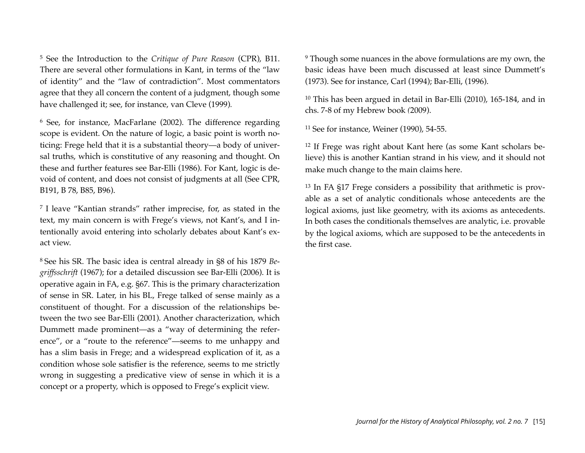<span id="page-15-0"></span>5 See the Introduction to the *Critique of Pure Reason* (CPR), B11. There are several other formulations in Kant, in terms of the "law of identity" and the "law of contradiction". Most commentators agree that they all concern the content of a judgment, though some have challenged it; see, for instance, van Cleve (1999)*.*

<span id="page-15-1"></span><sup>6</sup> See, for instance, MacFarlane (2002). The difference regarding scope is evident. On the nature of logic, a basic point is worth noticing: Frege held that it is a substantial theory—a body of universal truths, which is constitutive of any reasoning and thought. On these and further features see Bar-Elli (1986). For Kant, logic is devoid of content, and does not consist of judgments at all (See CPR, B191, B 78, B85, B96).

<span id="page-15-2"></span><sup>7</sup> I leave "Kantian strands" rather imprecise, for, as stated in the text, my main concern is with Frege's views, not Kant's, and I intentionally avoid entering into scholarly debates about Kant's exact view.

<span id="page-15-3"></span><sup>8</sup> See his SR. The basic idea is central already in §8 of his 1879 *Begriffsschrift* (1967); for a detailed discussion see Bar-Elli (2006). It is operative again in FA, e.g. §67. This is the primary characterization of sense in SR. Later, in his BL, Frege talked of sense mainly as a constituent of thought. For a discussion of the relationships between the two see Bar-Elli (2001). Another characterization, which Dummett made prominent—as a "way of determining the reference", or a "route to the reference"—seems to me unhappy and has a slim basis in Frege; and a widespread explication of it, as a condition whose sole satisfier is the reference, seems to me strictly wrong in suggesting a predicative view of sense in which it is a concept or a property, which is opposed to Frege's explicit view.

<span id="page-15-4"></span>9 Though some nuances in the above formulations are my own, the basic ideas have been much discussed at least since Dummett's (1973). See for instance, Carl (1994); Bar-Elli, (1996).

<span id="page-15-5"></span>10 This has been argued in detail in Bar-Elli (2010), 165-184, and in chs. 7-8 of my Hebrew book *(*2009).

<span id="page-15-6"></span>11 See for instance, Weiner (1990), 54-55.

<span id="page-15-7"></span>12 If Frege was right about Kant here (as some Kant scholars believe) this is another Kantian strand in his view, and it should not make much change to the main claims here.

<span id="page-15-8"></span>13 In FA §17 Frege considers a possibility that arithmetic is provable as a set of analytic conditionals whose antecedents are the logical axioms, just like geometry, with its axioms as antecedents. In both cases the conditionals themselves are analytic, i.e. provable by the logical axioms, which are supposed to be the antecedents in the first case.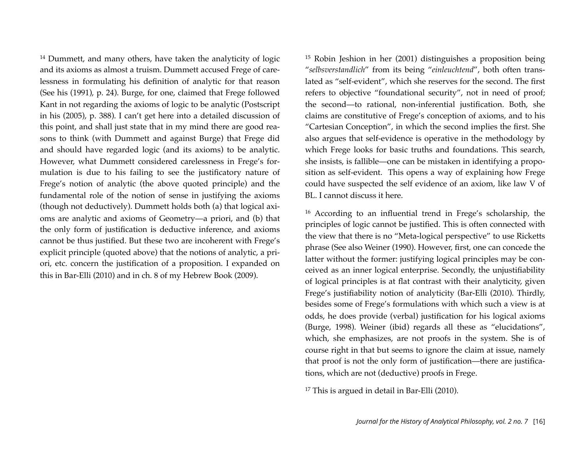<span id="page-16-0"></span>14 Dummett, and many others, have taken the analyticity of logic and its axioms as almost a truism. Dummett accused Frege of carelessness in formulating his definition of analytic for that reason (See his (1991), p. 24). Burge, for one, claimed that Frege followed Kant in not regarding the axioms of logic to be analytic (Postscript in his (2005), p. 388). I can't get here into a detailed discussion of this point, and shall just state that in my mind there are good reasons to think (with Dummett and against Burge) that Frege did and should have regarded logic (and its axioms) to be analytic. However, what Dummett considered carelessness in Frege's formulation is due to his failing to see the justificatory nature of Frege's notion of analytic (the above quoted principle) and the fundamental role of the notion of sense in justifying the axioms (though not deductively). Dummett holds both (a) that logical axioms are analytic and axioms of Geometry—a priori, and (b) that the only form of justification is deductive inference, and axioms cannot be thus justified. But these two are incoherent with Frege's explicit principle (quoted above) that the notions of analytic, a priori, etc. concern the justification of a proposition. I expanded on this in Bar-Elli (2010) and in ch. 8 of my Hebrew Book (2009).

<span id="page-16-1"></span>15 Robin Jeshion in her (2001) distinguishes a proposition being "*selbsverstandlich*" from its being "*einleuchtend*", both often translated as "self-evident", which she reserves for the second. The first refers to objective "foundational security", not in need of proof; the second—to rational, non-inferential justification. Both, she claims are constitutive of Frege's conception of axioms, and to his "Cartesian Conception", in which the second implies the first. She also argues that self-evidence is operative in the methodology by which Frege looks for basic truths and foundations. This search, she insists, is fallible—one can be mistaken in identifying a proposition as self-evident. This opens a way of explaining how Frege could have suspected the self evidence of an axiom, like law V of BL. I cannot discuss it here.

<span id="page-16-2"></span>16 According to an influential trend in Frege's scholarship, the principles of logic cannot be justified. This is often connected with the view that there is no "Meta-logical perspective" to use Ricketts phrase (See also Weiner (1990). However, first, one can concede the latter without the former: justifying logical principles may be conceived as an inner logical enterprise. Secondly, the unjustifiability of logical principles is at flat contrast with their analyticity, given Frege's justifiability notion of analyticity (Bar-Elli (2010). Thirdly, besides some of Frege's formulations with which such a view is at odds, he does provide (verbal) justification for his logical axioms (Burge, 1998). Weiner (ibid) regards all these as "elucidations", which, she emphasizes, are not proofs in the system. She is of course right in that but seems to ignore the claim at issue, namely that proof is not the only form of justification—there are justifications, which are not (deductive) proofs in Frege.

<span id="page-16-3"></span><sup>17</sup> This is argued in detail in Bar-Elli (2010).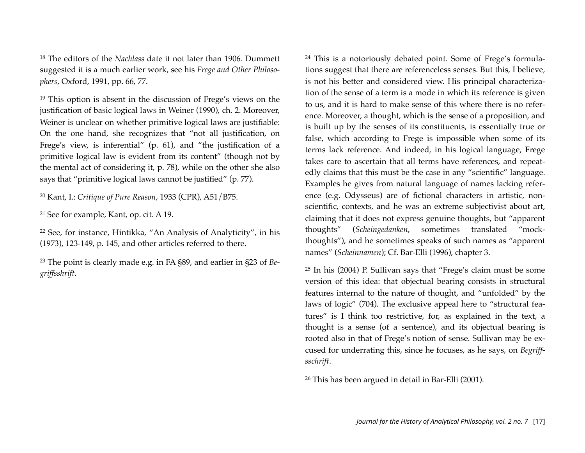<span id="page-17-0"></span><sup>18</sup> The editors of the *Nachlass* date it not later than 1906. Dummett suggested it is a much earlier work, see his *Frege and Other Philosophers*, Oxford, 1991, pp. 66, 77.

<span id="page-17-1"></span>19 This option is absent in the discussion of Frege's views on the justification of basic logical laws in Weiner (1990), ch. 2. Moreover, Weiner is unclear on whether primitive logical laws are justifiable: On the one hand, she recognizes that "not all justification, on Frege's view, is inferential" (p. 61), and "the justification of a primitive logical law is evident from its content" (though not by the mental act of considering it, p. 78), while on the other she also says that "primitive logical laws cannot be justified" (p. 77).

<span id="page-17-2"></span><sup>20</sup> Kant, I.: *Critique of Pure Reason*, 1933 (CPR), A51/B75.

<span id="page-17-3"></span><sup>21</sup> See for example, Kant, op. cit. A 19.

<span id="page-17-4"></span>22 See, for instance, Hintikka, "An Analysis of Analyticity", in his (1973), 123-149, p. 145, and other articles referred to there.

<span id="page-17-5"></span>23 The point is clearly made e.g. in FA §89, and earlier in §23 of *Begriffsshrift*.

<span id="page-17-6"></span>24 This is a notoriously debated point. Some of Frege's formulations suggest that there are referenceless senses. But this, I believe, is not his better and considered view. His principal characterization of the sense of a term is a mode in which its reference is given to us, and it is hard to make sense of this where there is no reference. Moreover, a thought, which is the sense of a proposition, and is built up by the senses of its constituents, is essentially true or false, which according to Frege is impossible when some of its terms lack reference. And indeed, in his logical language, Frege takes care to ascertain that all terms have references, and repeatedly claims that this must be the case in any "scientific" language. Examples he gives from natural language of names lacking reference (e.g. Odysseus) are of fictional characters in artistic, nonscientific, contexts, and he was an extreme subjectivist about art, claiming that it does not express genuine thoughts, but "apparent thoughts" (*Scheingedanken*, sometimes translated "mockthoughts"), and he sometimes speaks of such names as "apparent names" (*Scheinnamen*); Cf. Bar-Elli (1996), chapter 3.

<span id="page-17-7"></span>25 In his (2004) P. Sullivan says that "Frege's claim must be some version of this idea: that objectual bearing consists in structural features internal to the nature of thought, and "unfolded" by the laws of logic" (704). The exclusive appeal here to "structural features" is I think too restrictive, for, as explained in the text, a thought is a sense (of a sentence), and its objectual bearing is rooted also in that of Frege's notion of sense. Sullivan may be excused for underrating this, since he focuses, as he says, on *Begriffsschrift*.

<span id="page-17-8"></span><sup>26</sup> This has been argued in detail in Bar-Elli (2001).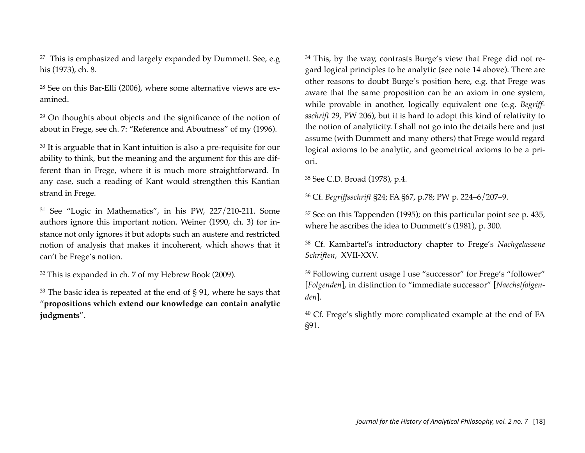<span id="page-18-0"></span> $27$  This is emphasized and largely expanded by Dummett. See, e.g his (1973), ch. 8.

<span id="page-18-1"></span>28 See on this Bar-Elli (2006), where some alternative views are examined.

<span id="page-18-2"></span>29 On thoughts about objects and the significance of the notion of about in Frege, see ch. 7: "Reference and Aboutness" of my (1996).

<span id="page-18-3"></span>30 It is arguable that in Kant intuition is also a pre-requisite for our ability to think, but the meaning and the argument for this are different than in Frege, where it is much more straightforward. In any case, such a reading of Kant would strengthen this Kantian strand in Frege.

<span id="page-18-4"></span>31 See "Logic in Mathematics", in his PW, 227/210-211. Some authors ignore this important notion. Weiner (1990, ch. 3) for instance not only ignores it but adopts such an austere and restricted notion of analysis that makes it incoherent, which shows that it can't be Frege's notion.

<span id="page-18-5"></span>32 This is expanded in ch. 7 of my Hebrew Book (2009).

<span id="page-18-6"></span> $33$  The basic idea is repeated at the end of § 91, where he says that "**propositions which extend our knowledge can contain analytic judgments**".

<span id="page-18-7"></span>34 This, by the way, contrasts Burge's view that Frege did not regard logical principles to be analytic (see note 14 above). There are other reasons to doubt Burge's position here, e.g. that Frege was aware that the same proposition can be an axiom in one system, while provable in another, logically equivalent one (e.g. *Begriffsschrift* 29, PW 206), but it is hard to adopt this kind of relativity to the notion of analyticity. I shall not go into the details here and just assume (with Dummett and many others) that Frege would regard logical axioms to be analytic, and geometrical axioms to be a priori.

<span id="page-18-8"></span>35 See C.D. Broad (1978), p.4.

<span id="page-18-9"></span>36 Cf. *Begriffsschrift* §24; FA §67, p.78; PW p. 224–6/207–9.

<span id="page-18-10"></span> $37$  See on this Tappenden (1995); on this particular point see p. 435, where he ascribes the idea to Dummett's (1981), p. 300.

<span id="page-18-11"></span>38 Cf. Kambartel's introductory chapter to Frege's *Nachgelassene Schriften*, XVII-XXV.

<span id="page-18-12"></span><sup>39</sup> Following current usage I use "successor" for Frege's "follower" [*Folgenden*], in distinction to "immediate successor" [*Naechstfolgenden*].

<span id="page-18-13"></span>40 Cf. Frege's slightly more complicated example at the end of FA §91.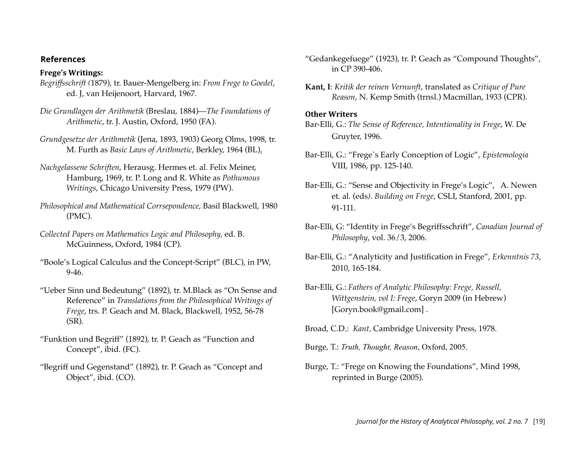#### **References**

#### **Frege's Writings:**

- *Begriffsschrift (*1879)*,* tr. Bauer-Mengelberg in: *From Frege to Goedel*, ed. J, van Heijenoort, Harvard, 1967*.*
- *Die Grundlagen der Arithmetik* (Breslau, 1884)—*The Foundations of Arithmetic*, tr. J. Austin, Oxford, 1950 (FA).
- *Grundgesetze der Arithmetik* (Jena, 1893, 1903) Georg Olms, 1998, tr. M. Furth as *Basic Laws of Arithmetic*, Berkley, 1964 (BL).
- *Nachgelassene Schriften*, Herausg. Hermes et. al. Felix Meiner, Hamburg, 1969, tr. P. Long and R. White as *Pothumous Writings*, Chicago University Press, 1979 (PW).
- *Philosophical and Mathematical Corrsepondence*, Basil Blackwell, 1980 (PMC).
- *Collected Papers on Mathematics Logic and Philosophy,* ed. B. McGuinness, Oxford, 1984 (CP).
- "Boole's Logical Calculus and the Concept-Script" (BLC), in PW, 9-46.
- "Ueber Sinn und Bedeutung" (1892), tr. M.Black as "On Sense and Reference" in *Translations from the Philosophical Writings of Frege*, trs. P. Geach and M. Black, Blackwell, 1952, 56-78 (SR).
- "Funktion und Begriff" (1892), tr. P. Geach as "Function and Concept", ibid. (FC).
- "Begriff und Gegenstand" (1892), tr. P. Geach as "Concept and Object", ibid. (CO).
- "Gedankegefuege" (1923), tr. P. Geach as "Compound Thoughts", in CP 390-406.
- **Kant, I**: *Kritik der reinen Vernunft*, translated as *Critique of Pure Reason*, N. Kemp Smith (trnsl.) Macmillan, 1933 (CPR).

#### **Other Writers**

- Bar-Elli, G.: *The Sense of Reference, Intentionality in Frege*, W. De Gruyter, 1996.
- Bar-Elli, G.: "Frege`s Early Conception of Logic", *Epistemologia* VIII, 1986, pp. 125-140.
- Bar-Elli, G.: "Sense and Objectivity in Frege's Logic", A. Newen et. al. (eds*). Building on Frege*, CSLI, Stanford, 2001, pp. 91-111.
- Bar-Elli, G: "Identity in Frege's Begriffsschrift", *Canadian Journal of Philosophy*, vol. 36/3, 2006.
- Bar-Elli, G.: "Analyticity and Justification in Frege", *Erkenntnis 73*, 2010, 165-184.
- Bar-Elli, G.: *Fathers of Analytic Philosophy: Frege, Russell, Wittgenstein, vol I: Frege*, Goryn 2009 (in Hebrew) [Goryn.book@gmail.com] .
- Broad, C.D.: *Kant,* Cambridge University Press, 1978.
- Burge, T.: *Truth, Thought, Reason*, Oxford, 2005.
- Burge, T.: "Frege on Knowing the Foundations", Mind 1998, reprinted in Burge (2005).